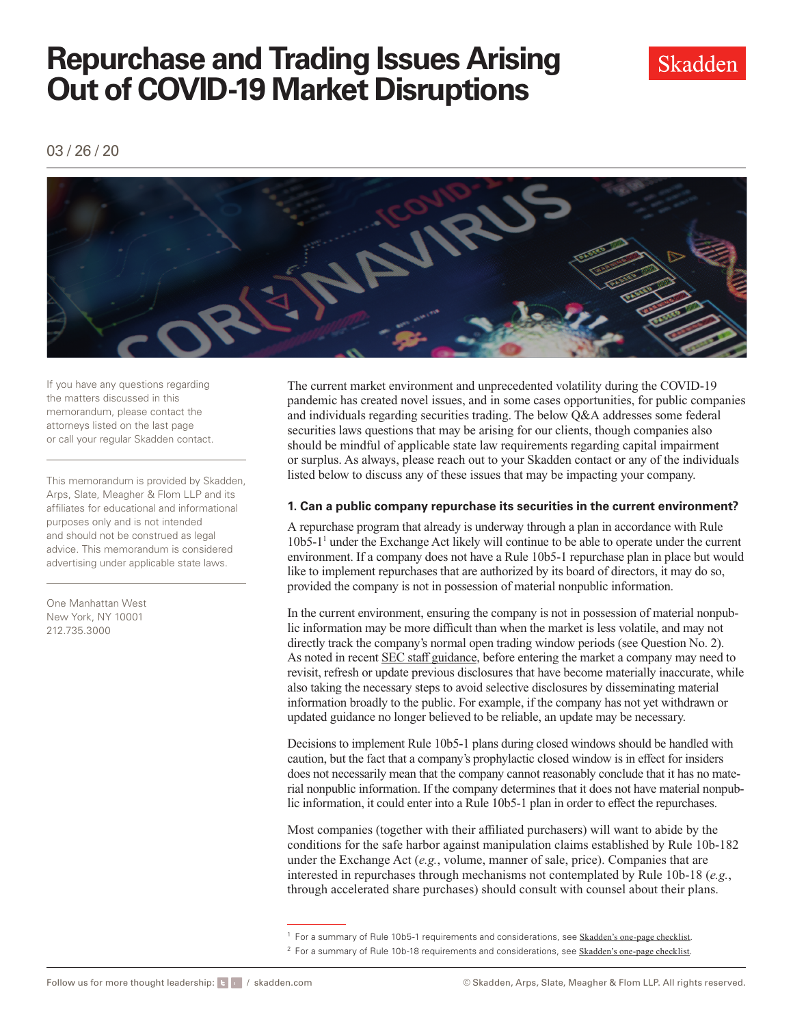

03 / 26 / 20



If you have any questions regarding the matters discussed in this memorandum, please contact the attorneys listed on the last page or call your regular Skadden contact.

This memorandum is provided by Skadden, Arps, Slate, Meagher & Flom LLP and its affiliates for educational and informational purposes only and is not intended and should not be construed as legal advice. This memorandum is considered advertising under applicable state laws.

One Manhattan West New York, NY 10001 212.735.3000

The current market environment and unprecedented volatility during the COVID-19 pandemic has created novel issues, and in some cases opportunities, for public companies and individuals regarding securities trading. The below Q&A addresses some federal securities laws questions that may be arising for our clients, though companies also should be mindful of applicable state law requirements regarding capital impairment or surplus. As always, please reach out to your Skadden contact or any of the individuals listed below to discuss any of these issues that may be impacting your company.

### **1. Can a public company repurchase its securities in the current environment?**

 provided the company is not in possession of material nonpublic information. A repurchase program that already is underway through a plan in accordance with Rule 10b5-1<sup>1</sup> under the Exchange Act likely will continue to be able to operate under the current environment. If a company does not have a Rule 10b5-1 repurchase plan in place but would like to implement repurchases that are authorized by its board of directors, it may do so,

In the current environment, ensuring the company is not in possession of material nonpublic information may be more difficult than when the market is less volatile, and may not directly track the company's normal open trading window periods (see Question No. 2). As noted in recent SEC staff guidance, before entering the market a company may need to revisit, refresh or update previous disclosures that have become materially inaccurate, while also taking the necessary steps to avoid selective disclosures by disseminating material information broadly to the public. For example, if the company has not yet withdrawn or updated guidance no longer believed to be reliable, an update may be necessary.

Decisions to implement Rule 10b5-1 plans during closed windows should be handled with caution, but the fact that a company's prophylactic closed window is in efect for insiders does not necessarily mean that the company cannot reasonably conclude that it has no material nonpublic information. If the company determines that it does not have material nonpublic information, it could enter into a Rule 10b5-1 plan in order to efect the repurchases.

Most companies (together with their afliated purchasers) will want to abide by the conditions for the safe harbor against manipulation claims established by Rule 10b-182 under the Exchange Act (*e.g.*, volume, manner of sale, price). Companies that are interested in repurchases through mechanisms not contemplated by Rule 10b-18 (*e.g.*, through accelerated share purchases) should consult with counsel about their plans.

<sup>&</sup>lt;sup>1</sup> For a summary of Rule 10b5-1 requirements and considerations, see **[Skadden's one-page checklist](http://www.skadden.com/-/media/files/publications/2020/03/trading-issues-arising-out-of-market-disruptions/rule_10b51_trading_plans.pdf)**.

<sup>&</sup>lt;sup>2</sup> For a summary of Rule 10b-18 requirements and considerations, see [Skadden's one-page checklist.](http://www.skadden.com/-/media/files/publications/2020/03/trading-issues-arising-out-of-market-disruptions/rule_10b_18_safe_harbors.pdf)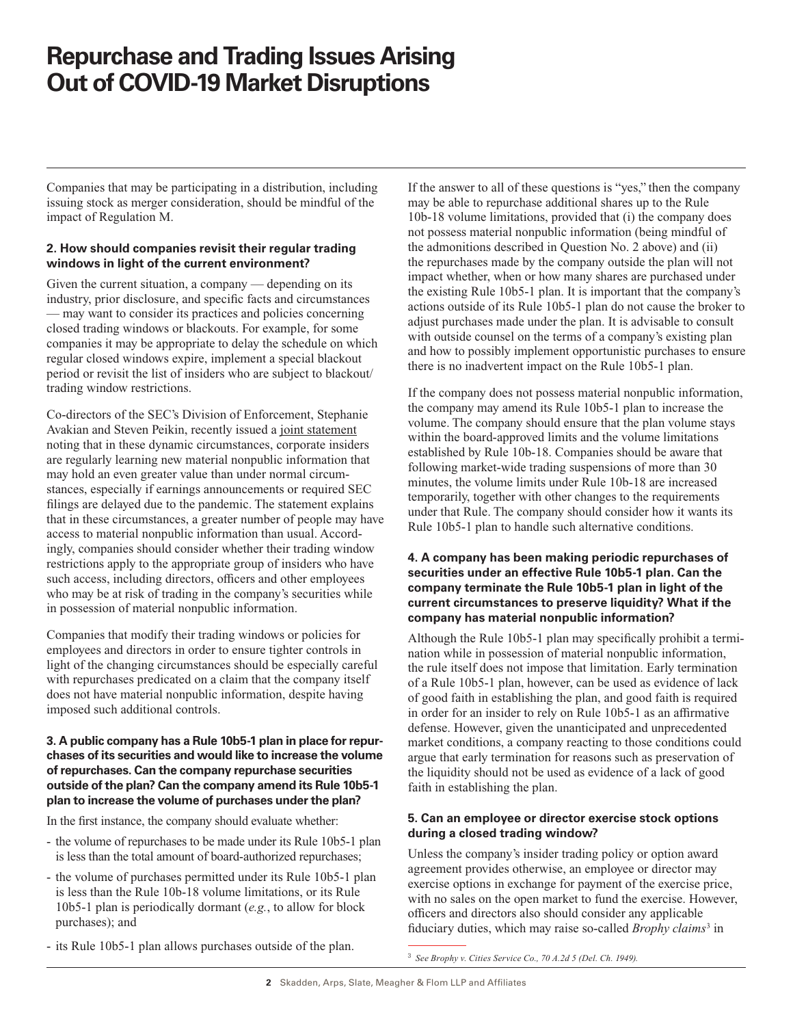Companies that may be participating in a distribution, including issuing stock as merger consideration, should be mindful of the impact of Regulation M.

### **2. How should companies revisit their regular trading windows in light of the current environment?**

Given the current situation, a company — depending on its industry, prior disclosure, and specifc facts and circumstances — may want to consider its practices and policies concerning closed trading windows or blackouts. For example, for some companies it may be appropriate to delay the schedule on which regular closed windows expire, implement a special blackout period or revisit the list of insiders who are subject to blackout/ trading window restrictions.

Co-directors of the SEC's Division of Enforcement, Stephanie Avakian and Steven Peikin, recently issued a [joint statement](https://www.sec.gov/news/public-statement/statement-enforcement-co-directors-market-integrity)  noting that in these dynamic circumstances, corporate insiders are regularly learning new material nonpublic information that may hold an even greater value than under normal circumstances, especially if earnings announcements or required SEC flings are delayed due to the pandemic. The statement explains that in these circumstances, a greater number of people may have access to material nonpublic information than usual. Accordingly, companies should consider whether their trading window restrictions apply to the appropriate group of insiders who have such access, including directors, officers and other employees who may be at risk of trading in the company's securities while in possession of material nonpublic information.

Companies that modify their trading windows or policies for employees and directors in order to ensure tighter controls in light of the changing circumstances should be especially careful with repurchases predicated on a claim that the company itself does not have material nonpublic information, despite having imposed such additional controls.

### **3. A public company has a Rule 10b5-1 plan in place for repurchases of its securities and would like to increase the volume of repurchases. Can the company repurchase securities outside of the plan? Can the company amend its Rule 10b5-1 plan to increase the volume of purchases under the plan?**

In the frst instance, the company should evaluate whether:

- the volume of repurchases to be made under its Rule 10b5-1 plan is less than the total amount of board-authorized repurchases;
- the volume of purchases permitted under its Rule 10b5-1 plan is less than the Rule 10b-18 volume limitations, or its Rule 10b5-1 plan is periodically dormant (*e.g.*, to allow for block purchases); and

If the answer to all of these questions is "yes," then the company may be able to repurchase additional shares up to the Rule 10b-18 volume limitations, provided that (i) the company does not possess material nonpublic information (being mindful of the admonitions described in Question No. 2 above) and (ii) the repurchases made by the company outside the plan will not impact whether, when or how many shares are purchased under the existing Rule 10b5-1 plan. It is important that the company's actions outside of its Rule 10b5-1 plan do not cause the broker to adjust purchases made under the plan. It is advisable to consult with outside counsel on the terms of a company's existing plan and how to possibly implement opportunistic purchases to ensure there is no inadvertent impact on the Rule 10b5-1 plan.

If the company does not possess material nonpublic information, the company may amend its Rule 10b5-1 plan to increase the volume. The company should ensure that the plan volume stays within the board-approved limits and the volume limitations established by Rule 10b-18. Companies should be aware that following market-wide trading suspensions of more than 30 minutes, the volume limits under Rule 10b-18 are increased temporarily, together with other changes to the requirements under that Rule. The company should consider how it wants its Rule 10b5-1 plan to handle such alternative conditions.

### **4. A company has been making periodic repurchases of securities under an effective Rule 10b5-1 plan. Can the company terminate the Rule 10b5-1 plan in light of the current circumstances to preserve liquidity? What if the company has material nonpublic information?**

Although the Rule 10b5-1 plan may specifcally prohibit a termination while in possession of material nonpublic information, the rule itself does not impose that limitation. Early termination of a Rule 10b5-1 plan, however, can be used as evidence of lack of good faith in establishing the plan, and good faith is required in order for an insider to rely on Rule 10b5-1 as an affirmative defense. However, given the unanticipated and unprecedented market conditions, a company reacting to those conditions could argue that early termination for reasons such as preservation of the liquidity should not be used as evidence of a lack of good faith in establishing the plan.

### **5. Can an employee or director exercise stock options during a closed trading window?**

Unless the company's insider trading policy or option award agreement provides otherwise, an employee or director may exercise options in exchange for payment of the exercise price, with no sales on the open market to fund the exercise. However, officers and directors also should consider any applicable fduciary duties, which may raise so-called *Brophy claims*<sup>3</sup> in

- its Rule 10b5-1 plan allows purchases outside of the plan.

<sup>3</sup> See Brophy v. Cities Service Co., 70 A.2d 5 (Del. Ch. 1949).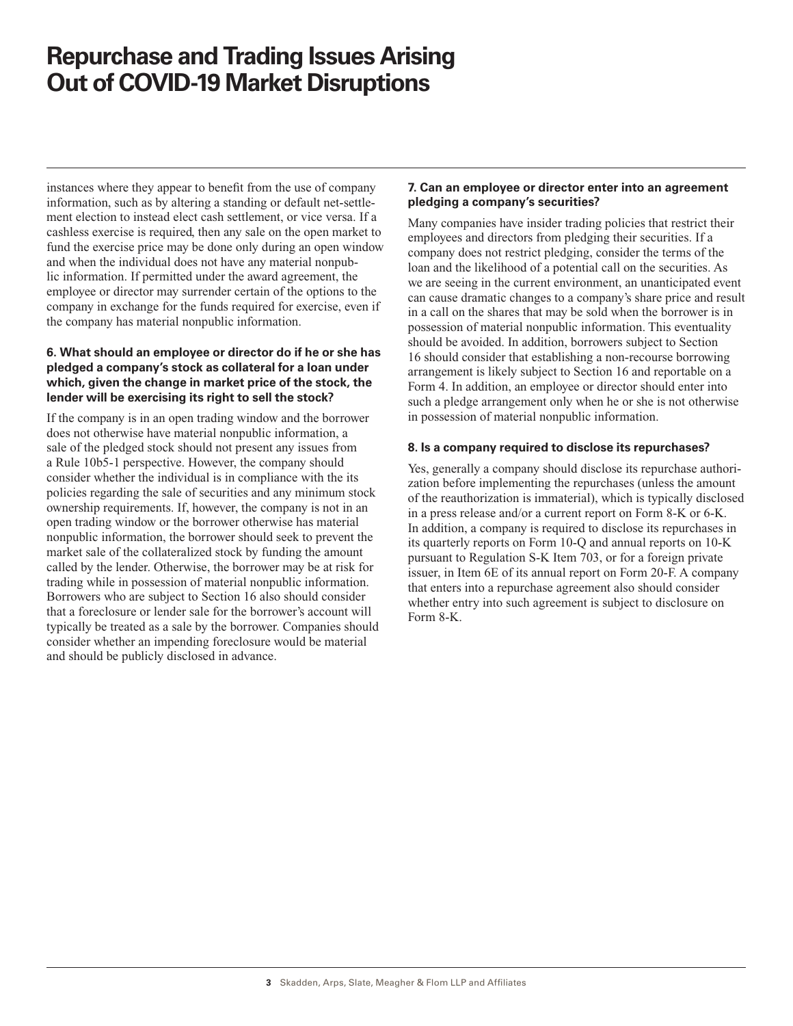instances where they appear to beneft from the use of company information, such as by altering a standing or default net-settlement election to instead elect cash settlement, or vice versa. If a cashless exercise is required, then any sale on the open market to fund the exercise price may be done only during an open window and when the individual does not have any material nonpublic information. If permitted under the award agreement, the employee or director may surrender certain of the options to the company in exchange for the funds required for exercise, even if the company has material nonpublic information.

### **6. What should an employee or director do if he or she has pledged a company's stock as collateral for a loan under which, given the change in market price of the stock, the lender will be exercising its right to sell the stock?**

If the company is in an open trading window and the borrower does not otherwise have material nonpublic information, a sale of the pledged stock should not present any issues from a Rule 10b5-1 perspective. However, the company should consider whether the individual is in compliance with the its policies regarding the sale of securities and any minimum stock ownership requirements. If, however, the company is not in an open trading window or the borrower otherwise has material nonpublic information, the borrower should seek to prevent the market sale of the collateralized stock by funding the amount called by the lender. Otherwise, the borrower may be at risk for trading while in possession of material nonpublic information. Borrowers who are subject to Section 16 also should consider that a foreclosure or lender sale for the borrower's account will typically be treated as a sale by the borrower. Companies should consider whether an impending foreclosure would be material and should be publicly disclosed in advance.

### **7. Can an employee or director enter into an agreement pledging a company's securities?**

Many companies have insider trading policies that restrict their employees and directors from pledging their securities. If a company does not restrict pledging, consider the terms of the loan and the likelihood of a potential call on the securities. As we are seeing in the current environment, an unanticipated event can cause dramatic changes to a company's share price and result in a call on the shares that may be sold when the borrower is in possession of material nonpublic information. This eventuality should be avoided. In addition, borrowers subject to Section 16 should consider that establishing a non-recourse borrowing arrangement is likely subject to Section 16 and reportable on a Form 4. In addition, an employee or director should enter into such a pledge arrangement only when he or she is not otherwise in possession of material nonpublic information.

### **8. Is a company required to disclose its repurchases?**

Yes, generally a company should disclose its repurchase authorization before implementing the repurchases (unless the amount of the reauthorization is immaterial), which is typically disclosed in a press release and/or a current report on Form 8-K or 6-K. In addition, a company is required to disclose its repurchases in its quarterly reports on Form 10-Q and annual reports on 10-K pursuant to Regulation S-K Item 703, or for a foreign private issuer, in Item 6E of its annual report on Form 20-F. A company that enters into a repurchase agreement also should consider whether entry into such agreement is subject to disclosure on Form 8-K.